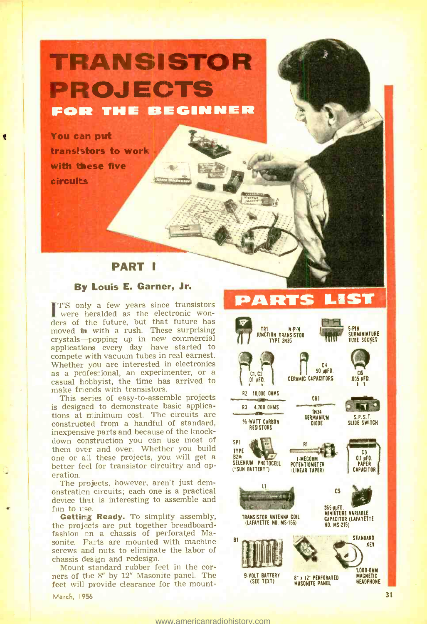# TRANSISTOR PROJECTS<br>For the Beginner

You can put transistors to work with these five circuits

## **PART I**

## By Louis E. Garner, Jr.

IT'S only a few years since transistors were heralded as the electronic wonders of the future, but that future has moved in with a rush. These surprising crystals—popping up in new commercial applications every day—have started to compete with vacuum tubes in real earnest. compete with vacuum tubes in real earnest. Whether you are interested in electronics as a professional, an experimenter, or a casual hobbyist, the time has arrived to make friends with transistors.

This series of easy-to-assemble projects is designed to demonstrate basic applications at minimum cost. The circuits are constructed from a handful of standard, inexpensive parts and because of the knockdown construction you can use most of them over and over. Whether you build one or all these projects, you will get a  $\frac{b2W}{s}$ <br>better feel for transistor circuitry and op-

eration.<br>The projects, however, aren't just demonstration circuits; each one is a practical device that is interesting to assemble and

fun to use.<br>**Getting Ready.** To simplify assembly, the projects are put together breadboardfashion on a chassis of perforated Masonite. Farts are mounted with machine screws and nuts to eliminate the labor of chassis design and redesign.

Mount standard rubber feet in the corners of the 8" by 12" Masonite panel. The feet will provide clearance for the mount-

March, 1956 3t



"kasan ka

441.11,

47n

ij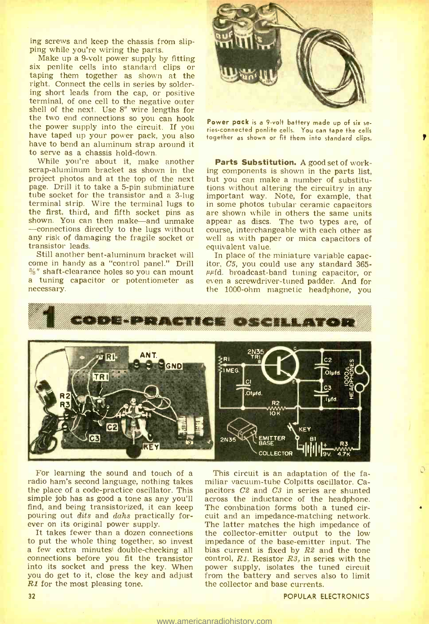ing screws and keep the chassis from slip-<br>ping while you're wiring the parts.<br>Make up a 9-volt power supply by fitting<br>six penlite cells into standard clips or

taping them together as shown at the right. Connect the cells in series by soldering short leads from the cap, or positive terminal, of one cell to the negative outer shell of the next. Use  $8''$  wire lengths for the two end connections so you can hook<br>the power supply into the circuit. If you have taped up your power pack, you also have to bend an aluminum strap around it to serve as a chassis hold-down.

While you're about it, make another scrap-aluminum bracket as shown in the ing components is shown in the parts list, project photos and at the top of the next but you can make a number of substitu-<br>page. Drill it to take a 5-pin subminiature tions without a tube socket for the transistor and a 3-lug terminal strip. Wire the terminal lugs to in some photos tubular ceramic capacitors the first, third, and fifth socket pins as are shown while in others the same units the first, third, and fifth socket pins as shown. You can then make—and unmake appear as discs. The two types are, of econnections directly to the lugs without course, interchangeable with each other as -connections directly to the lugs without any risk of damaging the fragile socket or transistor leads.

Still another bent-aluminum bracket will In place of the miniature variable capaccome in handy as a "control panel." Drill itor,  $\overline{C5}$ , you could use any standard 365- $\frac{26}{8}$ " shaft-clearance holes so you can mount  $\mu$   $\mu$  fd. broadcast-band tuning capacitor, or potentiometer as even a screwdriver-tuned padder. And for necessary.



Power pack is a 9-volt battery made up of six series -connected penlite cells. You can tape the cells together as shown or fit them into standard clips.

Parts Substitution. A good set of working components is shown in the parts list, tions without altering the circuitry in any important way. Note, for example, that in some photos tubular ceramic capacitors appear as discs. The two types are, of well as with paper or mica capacitors of<br>equivalent value.

 $\mu\mu$ fd. broadcast-band tuning capacitor, or the 1000-ohm magnetic headphone, you



For learning the sound and touch of a This circuit is an adaptation of the fa-<br>dio ham's second language, nothing takes miliar vacuum-tube Colpitts oscillator. Caradio ham's second language, nothing takes<br>the place of a code-practice oscillator. This

into its socket and press the key. When you do get to it, close the key and adjust R1 for the most pleasing tone.

simple job has as good a tone as any you'll across the inductance of the headphone.<br>
find, and being transistorized, it can keep The combination forms both a tuned cir-<br>
pouring out *dits* and *dahs* practically for-cuit a to put the whole thing together, so invest a impedance of the base-emitter input. The a few extra minutes double-checking all bias current is fixed by  $R2$  and the tone connections before you fit the transistor control, pacitors  $C2$  and  $C3$  in series are shunted across the inductance of the headphone. cuit and an impedance-matching network. the collector-emitter output to the low impedance of the base-emitter input. The control,  $R1$ . Resistor  $R3$ , in series with the power supply, isolates the tuned circuit from the battery and serves also to limit the collector and base currents.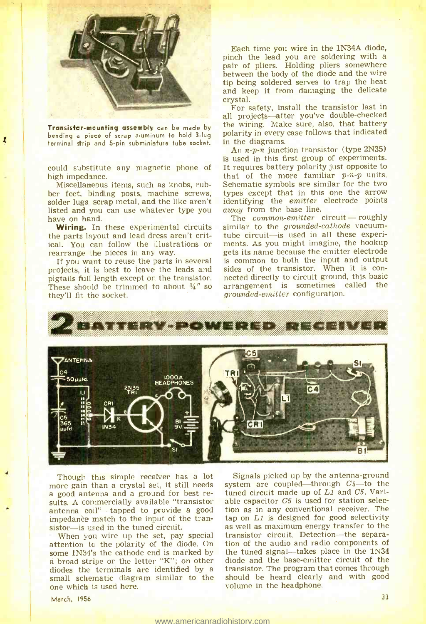

Transistor-mounting assembly can be made by bending a piece of scrap aluminum to hold 3-lug terminal strip and 5-pin subminiature tube socket.

high impedance.

Miscellaneous items, such as knobs, rubber feet, binding posts, machine screws, solder lugs scrap metal, and the like aren't identifying the *emitter* listed and you can use whatever type you *away* from the base line. have on hand.

Wiring. In these experimental circuits the parts layout and lead dress aren't critical. You can follow the illustrations or ments. As you might imagine, the hookup rearrange the pieces in any way.

These should be trimmed to about  $\frac{1}{4}$ " so they'll fit the socket.

Each time you wire in the 1N34A diode, pinch the lead you are soldering with a pair of pliers. Holding pliers somewhere between the body of the diode and the wire tip being soldered serves to trap the heat and keep it from damaging the delicate crystal. For safety, install the transistor last in

all projects-after you've double-checked the wiring. Make sure, also, that battery polarity in every case follows that indicated in the diagrams.

could substitute any magnetic phone of It requires battery polarity just opposite to An  $n-p-n$  junction transistor (type 2N35) is used in this first group of experiments. that of the more familiar  $p-n-p$  units. Schematic symbols are similar for the two types except that in this one the arrow identifying the emitter electrode points

If you want to reuse the parts in several is common to both the input and output<br>projects, it is best to leave the leads and sides of the transistor. When it is con-<br>pigtails full length except on the transistor. nected di The common-emitter circuit  $-$  roughly similar to the grounded-cathode vacuumtube circuit-is used in all these experigets its name because the emitter electrode is common to both the input and output sides of the transistor. When it is connected directly to circuit ground, this basic<br>
nected directly to circuit ground, this basic<br>
nected the sometimes called the arrangement is sometimes called grounded -emitter configuration.



Though this simple receiver has a lot signals picked up by the antenna-ground more gain than a crystal set, it still needs a system are coupled—through  $C4$ —to the a good antenna and a ground for best re- suned circuit ma impedance match to the input of the tran-<br>sistor-is used in the tuned circuit.<br>When you wire up the set, pay special

attention to the polarity of the diode. On some 1N34's the cathode end is marked by a broad stripe or the letter "K"; on other diodes the terminals are identified by a small schematic diagram similar to the one which is used here.

Signals picked up by the antenna -ground system are coupled-through  $C4$ -to the tuned circuit made up of  $L1$  and  $C5$ . Varition as in any conventional receiver. The tap on  $L1$  is designed for good selectivity as well as maximum energy transfer to the transistor circuit. Detection-the separation of the audio and radio components of the tuned signal- $t$ akes place in the  $1N34$ diode and the base-emitter circuit of the transistor. The program that comes through should be heard clearly and with good volume in the headphone.

March, 1956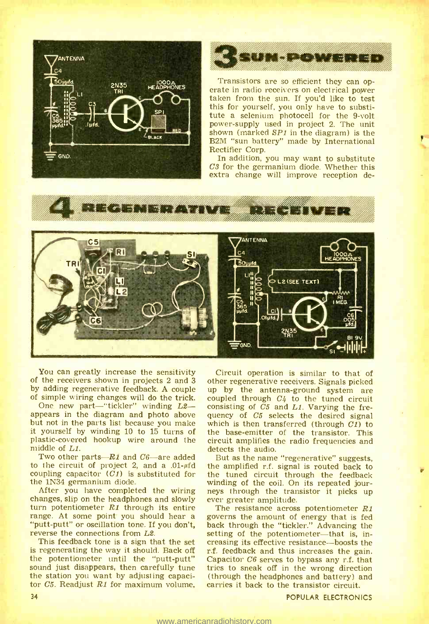



Transistors are so efficient they can op- erate in radio receivers on electrical power taken from the sun. If you'd like to test this for yourself, you only have to substitute a selenium photocell for the 9-volt power-supply used in project 2. The unit shown (marked  $SPI$  in the diagram) is the B2M "sun battery" made by International

Rectifier Corp.<br>In addition, you may want to substitute<br>C3 for the germanium diode. Whether this<br>extra change will improve reception de-





You can greatly increase the sensitivity Circuit operation is similar to that of the receivers shown in projects 2 and 3 other regenerative receivers. Signals picked of the receivers shown in projects 2 and 3 by adding regenerative feedback. A couple

plastic-covered hookup wire around the middle of  $L_1$ .

Two other parts— $R1$  and  $C6$ —are added But as the name "regenerative" suggests, to the circuit of project 2, and a .01- $\mu$ fd coupling capacitor  $(C1)$  is substituted for<br>the 1N34 germanium diode.

changes, slip on the headphones and slowly ever greater amplitude. turn potentiometer  $R1$  through its entire The resistance across potentiometer  $R1$ range. At some point you should hear a "putt-putt" or oscillation tone. If you don't, reverse the connections from L2.

This feedback tone is a sign that the set is regenerating the way it should. Back off<br>the potentiometer until the "putt-putt" the potentiometer until the "putt-putt" Capacitor  $C6$  serves to bypass any r.f. that sound just disappears, then carefully tune tries to sneak off in the wrong direction the station you want by adjusting capacitor C5. Readjust R1 for maximum volume,

of simple wiring changes will do the trick. coupled through  $C4$  to the tuned circuit<br>One, new part—"tickler" winding  $L2-$  consisting of  $C5$  and  $L1$ . Varying the fre-<br>appears in the diagram and photo above quency of  $C$ Circuit operation is similar to that' of up by the antenna-ground system are consisting of  $C5$  and L1. Varying the frethe base-emitter of the transistor. This circuit amplifies the radio frequencies and detects the audio.

the amplified r.f. signal is routed back to the tuned circuit through the feedback After you have completed the wiring neys through the transistor it picks up winding of the coil. On its repeated jour-

> governs the amount of energy that is fed back through the "tickler." Advancing the setting of the potentiometer-that is, increasing its effective resistance-boosts the r.f. feedback and thus increases the gain. (through the headphones and battery). and carries it back to the transistor circuit.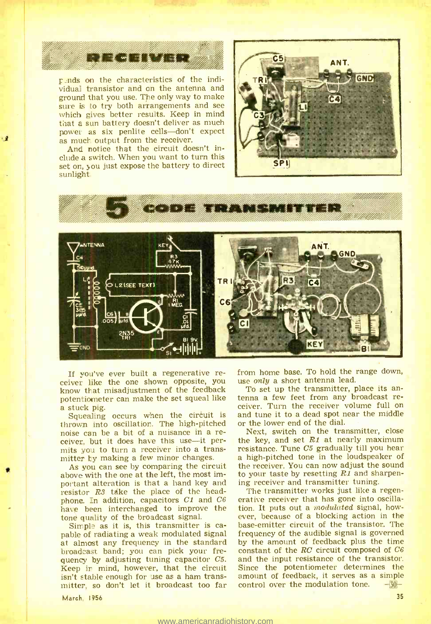

 $\frac{p}{p}$  and solution on the characteristics of the indi-<br>vidual transistor and on the antenna and ground that you use. The only way to make sure is to try both arrangements and see<br>which gives better results. Keep in mind<br>that a sun battery doesn't deliver as much power as six penlite cells-don't expect<br>as much output from the receiver.<br>And notice that the circuit doesn't in-

clude a switch. When you want to turn this set on, you just expose the battery to direct sunlight.



 $\frac{1}{2}$ 4 'ANTENNA **KEY ANT** Celling and the contract of the contract of the contract of the contract of the contract of the contract of the 0 <I r ex I March 1997  $TR$ D 3 **n** L2 (SEE TEXT) ufd. .01  $\frac{2N35}{TR1}$  BI 9V **KFY**  $=$  CND  $\Box$  $s_1$  -  $1$ 111  $\overline{1}$ \_s

If you've ever built a regenerative re- from home base. To hold the identically ceiver like the one shown opposite, you use only a short antenna lead. know that misadjustment of the feedback

Squealing occurs when the circuit is and tune it to a dead spot  $r_{\text{num}}$  into oscillation. The high-pitched or the lower end of the dial. thrown into oscillation. The high-pitched noise can be a bit of a nuisance in a re-<br>ceiver, but it does have this use—it per-

above with the one at the left, the most im-<br>portant alteration is that a hand key and ing receiver and transmitter tuning.<br>resistor  $R3$  take the place of the head-<br>The transmitter works just like a regen-

Simple as it is, this transmitter is capable of radiating a weak modulated signal at almost any frequency in the standard by the amount of feedback plus the time broadcast band; you can pick your fre- constant of the  $RC$  circuit composed of  $C6$  quency by adju mitter, so don't let it broadcast too far

from home base. To hold the range down,

potentiometer can make the set squeal like tenna a few feet from any broadcast re-<br>a stuck pig. eiver. Turn the receiver volume full on To set up the transmitter, place its antenna a few feet from any broadcast reand tune it to a dead spot near the middle

ceiver into a trans-<br>mits use-it does have the use-it per- mitter by making a few minor changes.<br>As you can see by comparing the circuit the receiver. You can now adjust the sound Next, switch on the transmitter, close the key, and set  $R1$  at nearly maximum a high-pitched tone in the loudspeaker of the receiver. You can now adjust the sound to your taste by resetting R1 and sharpening receiver and transmitter tuning.

phone. In addition, capacitors  $C1$  and  $C6$  erative receiver that has gone into oscilla-<br>have been interchanged to improve the tion. It puts out a modulated signal, how-<br>tone quality of the broadcast signal. ever, becaus base-emitter circuit of the transistor. The by the amount of feedback plus the time constant of the RC circuit composed of C6 and the input resistance of the transistor. amount of feedback, it serves as a simple control over the modulation tone.  $-30$ -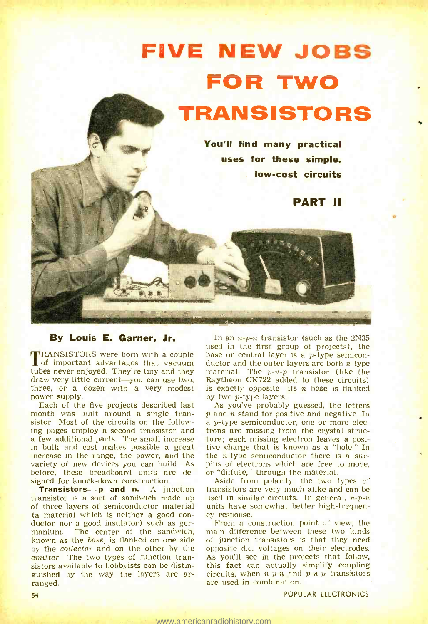## FIVE NEW JO FOR TWO TRANSISTORS

You'll find many practical uses for these simple, low-cost circuits

PART II<br>External of the Second Street in the Second Street in the Second Street in the Second Street in the Second Str<br>External of the Second Street in the Second Street in the Second Street in the Second Street in the Sec

It

19 March

fiat

.4

TRANSISTORS were born with a couple base or central of important advantages that vacuum ductor and the **I** of important advantages that vacuum<br>tues ductor and the outer layers are both *n*-type<br>tubes never enjoyed. They're tiny and they material. The *p-n-p* transistor (like the<br>draw very little current—you can use two, Ra

ing pages employ a second transistor and a few additional parts. The small increase in bulk and cost makes possible a great increase in the range, the power, and the the *n*-type semiconductor there is a survariety of new devices you can build. As plus of electrons which are free to move, before, these breadboard units are de- or "diffuse," th before, these breadboard units are de-

transistor is a sort of sandwich made up of three layers of semiconductor material units have somewhat better high-frequen-<br>
(a material which is neither a good con- ductor nor a good insulator) such as ger-<br>
From a construction point of view, the<br>
manium. The ce The center of the sandwich, known as the *base*, is flanked on one side of junction transistors is that they need by the *collector* and on the other by the **opposite** d.c. voltages on their electrodes. by the collector and on the other by the emitter. The two types of junction tran- sistors available to hobbyists can be distin- guished by the way the layers are arranged.

**By Louis E. Garner, Jr.** In an *n-p-n* transistor (such as the 2N35 used in the first group of projects), the In an *n*-*p*-*n* transistor (such as the 2N35 used in the first group of projects), the base or central layer is a *p*-type semiconductor and the outer layers are both *n*-type material. The *p*-*n*-*p* transistor (like is exactly opposite—its  $n$  base is flanked

> As you've probably guessed, the letters a *p*-type semiconductor, one or more electrons are missing from the crystal structure; each missing electron leaves a positive charge that is known as a "hole." In the *n*-type semiconductor there is a sur-

signed for knock-down construction. Aside from polarity, the two types of **Transistors-p and n.** A junction transistors are very much alike and can be transistor is a sort of sandwich made up used in similar circuits. In transistors are very much alike and can be units have somewhat better high-frequen-

> main difference between these two kinds of junction transistors is that they need As you'll see in the projects that follow, circuits, when  $n-p-n$  and  $p-n-p$  transistors are used in combination.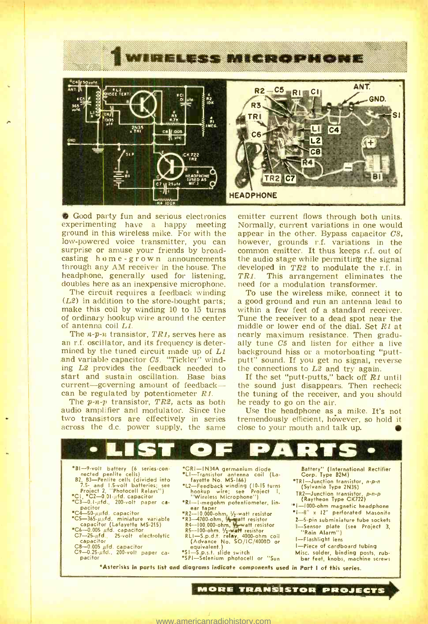

Good party fun and serious electronics emitter current flows through both units.<br>experimenting have a happy meeting Normally, current variations in one would<br>ground in this wireless mike. For with the appear in the other. low-powered voice transmitter, you can surprise or amuse your friends by broad-common emitter. It thus keeps  $r.f.$  out of casting home-grown announcements the audio stage while permitting the signal through any AM receiver in the house. The devel<br>headphone, generally used for listening, TR1.<br>doubles here as an inexpensive microphone. need

of antenna coil LA. The circuit requires a feedback winding  $(L2)$  in addition to the store-bought parts; a good ground and run an antenna lead to make this coil by winding 10 to 15 turns within a few feet of a standard receiver, of ordinary hookup wire around the center Tune the r

an r.f. oscillator, and its frequency is deter- ally tune  $C5$  and listen for either a live mined by the tuned circuit made up of  $L1$  background hiss or a motorboating "putt-.and variable capacitor C5. "Tickler" winding  $L2$  provides the feedback needed to the connections to  $L2$  and try again.<br>start and sustain oscillation. Base bias If the set "putt-putts," back off  $R1$  until start and sustain oscillation. Base bias current—governing amount of feedback— ihe sound just disappear<br>can be regulated by potentiometer R1. In the tuning of the receiver<br>The p-n-p transistor, TR2, acts as both be ready to go on the air.

audio amplifier and modulator. Since the two transistors are effectively in series across the d.c. power supply, the same close to your mouth and talk up.

Normally, current variations in one would however, grounds r.f. variations in the common emitter. It thus keeps r.f. out of developed in  $TR2$  to modulate the r.f. in TR1. This arrangement eliminates the need for a modulation transformer.

The  $n-p-n$  transistor, TR1, serves here as nearly maximum resistance. Then gradumiddle or lower end of the dial. Set  $R1$  at putt" sound. If you get no signal, reverse To use the wireless mike, connect it to within a few feet of a standard receiver. Tune the receiver to a dead spot near the

> the sound just disappears. Then recheck the tuning of the receiver, and you should

> Use the headphone as a mike. It's not tremendously efficient, however, so hold it



**MORE TRANSISTOR PROJECTS**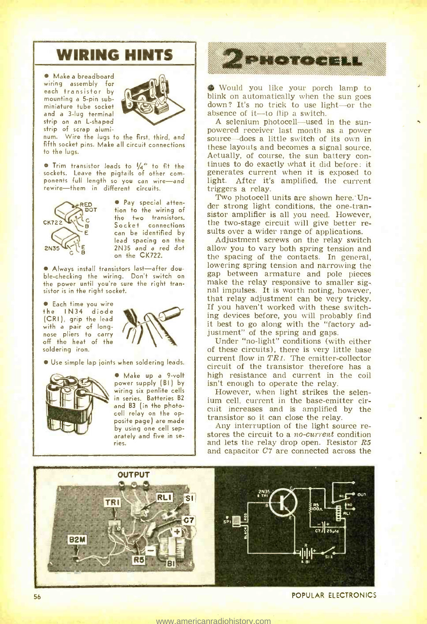wiring assembly for each transistor by mounting a 5 -pin subminiature tube socket and a 3-lug terminal strip on an L-shaped strip of scrap alumi-  $\bullet$  Make a breadboard



num. Wire the lugs to the first, third, and fifth socket pins. Make all circuit connections the to the lugs.

**•** Trim transistor leads to 1/4" to fit the sockets. Leave the pigtails of other components full length so you can wire-and light. After it's<br>rewire-them in different circuits. triggers a relay. rewire-them in different circuits.



 $\frac{1}{2}$  c the two<br> $\frac{1}{2}$  Socket<br> $\frac{1}{2}$  can be i  $2N35$   $\begin{array}{|l|l|}\n\hline\n\text{2N35} & \text{can be identified by} \\
\hline\n\end{array}$ <br>  $2N35$  and a red dot Pay special attention to the wiring of the two transistors. can be identified by on the CK722.

• Always install transistors last-after douthe power until you're sure the right transistor is in the right socket.

**Each time you wire**<br>the IN34 diode  $the$   $IN34$ (CRI ), grip the lead with a pair of longnose pliers to carry off the heat of the soldering iron.



**Use simple lap joints when soldering leads.** 



Make up a 9-volt wiring six penlite cells in series. Batteries B2 and B3 (in the photocell relay on the opby using one cell separately and five in se-<br>ries.



Would you like your porch lamp to blink on automatically when the sun goes down? It's no trick to use light-or the absence of it-to flip a switch.

A selenium photocell—used in the sun-<br>powered receiver last month as a power<br>source—does a little switch of its own in<br>these layouts and becomes a signal source. Aetually, of course, the sun battery continues to do exactly what it did before: it generates current when it is exposed to light. After it's amplified, the current

 $\frac{1}{10}$  connections the two-stage circuit will give better re-<br>identified by sults over a wider range of applications. Two photocell units are shown here. Under strong light conditions, the one-transistor amplifier is all you need. However,

lead spacing on the Adjustment screws on the relay switch ble-checking the wiring. Don't switch on  $\begin{bmatrix} \text{gap} & \text{between} \\ \text{make} & \text{the} \\ \text{make} & \text{the} \end{bmatrix}$  responsive to smaller sigallow you to vary both spring tension and<br>the spacing of the contacts. In general, the space is spring tension and narrowing the gap between armature and pole pieces make the relay responsive to smaller signal impulses. It is worth noting, however, that relay adjustment can be very tricky.<br>If you haven't worked with these switching devices before, you will probably find it best to go along with the "factory ad-<br>justment" of the spring and gaps.

power supply (BI) by isn't enough to operate the relay. Under "no-light" conditions (with either of these circuits), there is very little base current flow in  $TR1$ . The emitter-collector circuit of the transistor therefore has a high resistance and current in the coil

 $\frac{p}{p}$  centered by on the op-<br>host page) are made that the matrix of the light source re-<br>hy uting one cell tend. Any interruption of the light source re-However, when light strikes the selenium cell, current in the base-emitter circuit increases and is amplified by the

stores the circuit to a no-current condition and lets the relay drop open. Resistor  $R5$ and capacitor C7 are connected across the

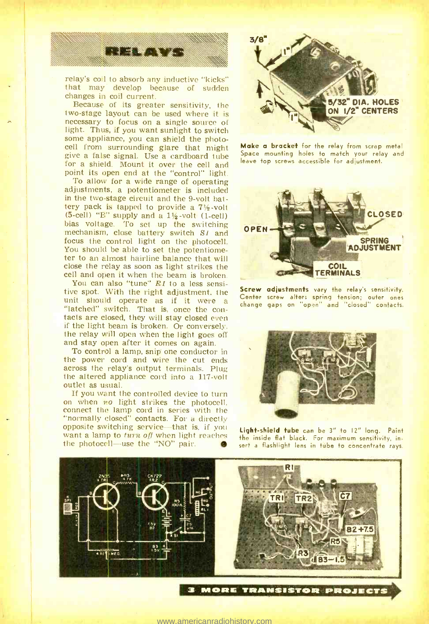

relay's coil to absorb any inductive "kicks" that may develop because of sudden changes in coil current.

Because of its greater sensitivity, the two -stage layout can be used where it is necessary to focus on a single source of light. Thus, if you want sunlight to switch some appliance, you can shield the photo-<br>cell from surrounding glare that might<br>give a false signal. Use a cardboard tube for a shield. Mount it over the cell and point its open end at the "control" light.

close the relay as soon as light strikes the cell and open it when the beam is broken. To allow for a wide range of operating adjustments, a potentiometer is included in the two-stage circuit and the 9-volt battery pack is tapped to provide a  $7\frac{1}{2}$ -volt (5-cell) "E" supply and a  $1\frac{1}{2}$ -volt (1-cell) bias voltage. To set up the switching<br>mechanism, close battery switch S1 and focus the control light on the photocell. You should be able to set the potentiometer to an almost hairline balance that will

You can also "tune"  $R1$  to a less sensitive spot. With the right adjustment. the unit should operate as if it were <sup>a</sup> "latched" switch. That is, once the contacts are closed, they will stay closed even if the light beam is broken. Or conversely,<br>the relay will open when the light goes off<br>and stay open after it comes on again.<br>To control a lamp, snip one conductor in

the power cord and wire the cut ends across the relay's output terminals. Plug the altered appliance cord into a 117-volt<br>outlet as usual.<br>If you want the controlled device to turn

on when no light strikes the photocell, connect the lamp cord in series with the "normally closed" contacts. For a directly opposite switching service—that is, if you want a lamp to  $turn$  off when light reaches. the photocell-use the "NO" pair.



Make a bracket for the relay from scrap metal Space mounting holes to match your relay and leave top screws accessible for adjustment.



Screw adjustments vary the relay's sensitivity. Center screw alters spring tension; outer ones Center screw alters spring tension; outer ones **gaps**<br>change gaps on "open" and "closed" contacts.



Light-shield tube can be 3" to 12" long. Paint the inside flat black. For maximum sensitivity, insert a flashlight lens in tube to concentrate rays.



,1 <www.americanradiohistory.com>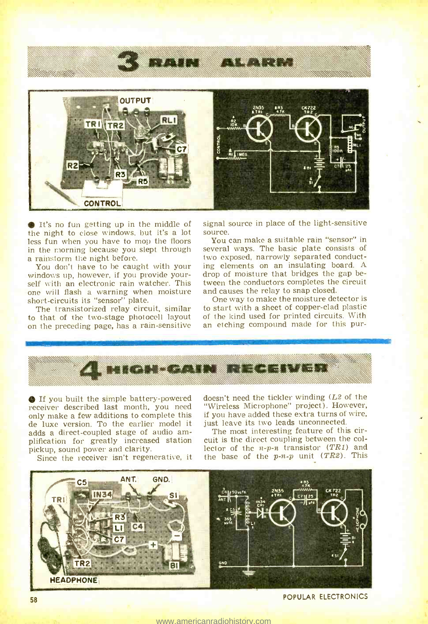

annibuolinianinkin

It's no fun getting up in the middle of signal  $s$  the night to close windows, but it's a lot source. the night to close windows, but it's a lot less fun when you have to mop the floors in the morning because you slept through<br>a rainstorm the night before.

You don't have to be caught with your ing elements on an insulating be windows up, however, if you provide your-<br>self with an electronic rain watcher. This tween the conductors completes the<br>one will flash a warning when m one will flash a warning when moisture<br>short-circuits its "sensor" plate.

on the preceding page, has a rain-sensitive

signal source in place of the light-sensitive

Millen Branch Strandboro Branch

**COMME** 

You can make a suitable rain "sensor" in several ways. The basic plate consists of two exposed, narrowly separated conducting elements on an insulating board. A drop of moisture that bridges the gap between the conductors completes the circuit

The transistorized relay circuit, similar to start with a sheet of copper-clad plastic<br>to that of the two-stage photocell layout of the kind used for printed circuits. With One way to make the moisture detector is to start with a sheet of copper-clad plastic an etching compound made for this pur-



**If you built the simple battery-powered** only make a few additions to complete this de luxe added these extra turns of de luxe version. To the earlier model it just leave its two leads unconnected. adds a direct -coupled stage of audio am-

Since the receiver isn't regenerative, it

receiver described last month, you need "Wireless Microphone" project). However, only make a few additions to complete this if you have added these extra turns of wire, doesn't need the tickler winding (L2 of the "Wireless Microphone" project). However,

plification for greatly increased station cuit is the direct coupling between the col-<br>pickup, sound power and clarity. Let be the  $n-p-n$  transistor  $(TR1)$  and The most interesting feature of this cirlector of the  $n-p-n$  transistor  $(TR1)$  and the base of the  $p-n-p$  unit  $(TR2)$ . This